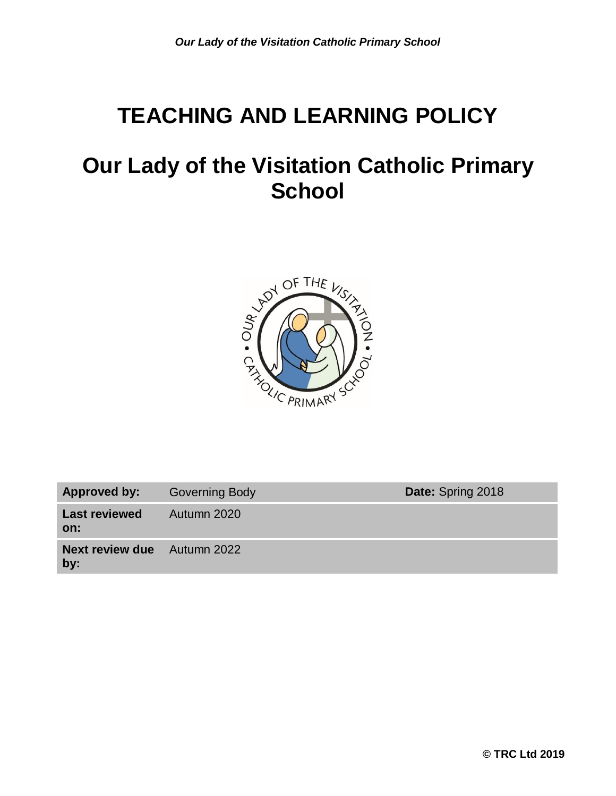# **TEACHING AND LEARNING POLICY**

# **Our Lady of the Visitation Catholic Primary School**



| <b>Approved by:</b>           | <b>Governing Body</b> | Date: Spring 2018 |
|-------------------------------|-----------------------|-------------------|
| <b>Last reviewed</b><br>on:   | Autumn 2020           |                   |
| <b>Next review due</b><br>by: | Autumn 2022           |                   |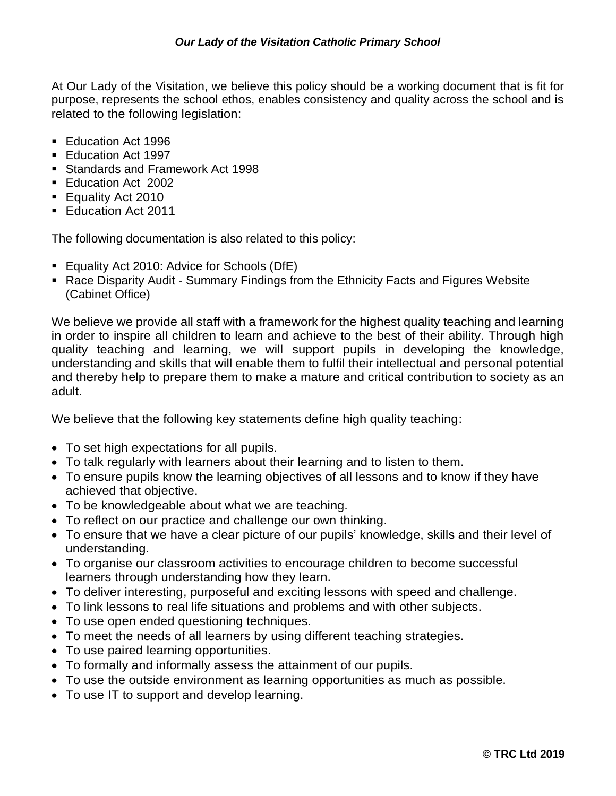At Our Lady of the Visitation, we believe this policy should be a working document that is fit for purpose, represents the school ethos, enables consistency and quality across the school and is related to the following legislation:

- Education Act 1996
- **Education Act 1997**
- Standards and Framework Act 1998
- Education Act 2002
- **Equality Act 2010**
- **Education Act 2011**

The following documentation is also related to this policy:

- **Equality Act 2010: Advice for Schools (DfE)**
- Race Disparity Audit Summary Findings from the Ethnicity Facts and Figures Website (Cabinet Office)

We believe we provide all staff with a framework for the highest quality teaching and learning in order to inspire all children to learn and achieve to the best of their ability. Through high quality teaching and learning, we will support pupils in developing the knowledge, understanding and skills that will enable them to fulfil their intellectual and personal potential and thereby help to prepare them to make a mature and critical contribution to society as an adult.

We believe that the following key statements define high quality teaching:

- To set high expectations for all pupils.
- To talk regularly with learners about their learning and to listen to them.
- To ensure pupils know the learning objectives of all lessons and to know if they have achieved that objective.
- To be knowledgeable about what we are teaching.
- To reflect on our practice and challenge our own thinking.
- To ensure that we have a clear picture of our pupils' knowledge, skills and their level of understanding.
- To organise our classroom activities to encourage children to become successful learners through understanding how they learn.
- To deliver interesting, purposeful and exciting lessons with speed and challenge.
- To link lessons to real life situations and problems and with other subjects.
- To use open ended questioning techniques.
- To meet the needs of all learners by using different teaching strategies.
- To use paired learning opportunities.
- To formally and informally assess the attainment of our pupils.
- To use the outside environment as learning opportunities as much as possible.
- To use IT to support and develop learning.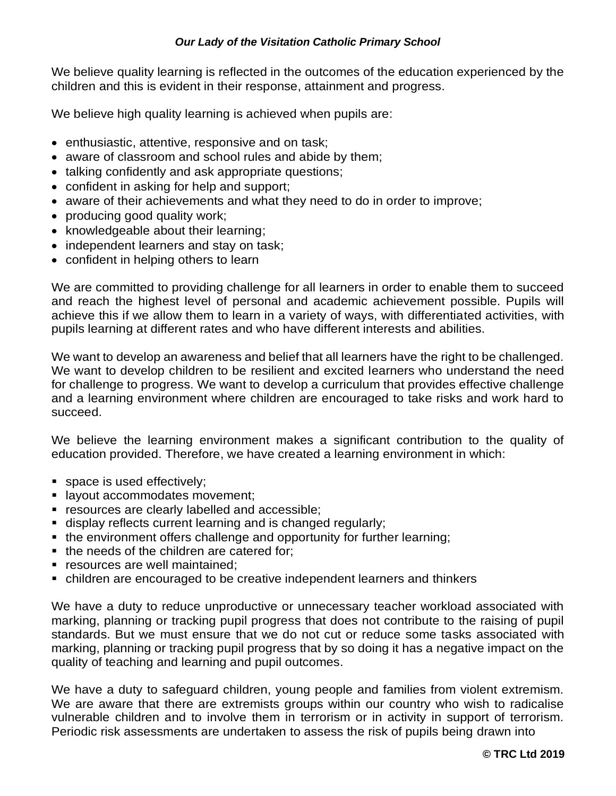We believe quality learning is reflected in the outcomes of the education experienced by the children and this is evident in their response, attainment and progress.

We believe high quality learning is achieved when pupils are:

- enthusiastic, attentive, responsive and on task;
- aware of classroom and school rules and abide by them;
- talking confidently and ask appropriate questions;
- confident in asking for help and support;
- aware of their achievements and what they need to do in order to improve;
- producing good quality work;
- knowledgeable about their learning;
- independent learners and stay on task;
- confident in helping others to learn

We are committed to providing challenge for all learners in order to enable them to succeed and reach the highest level of personal and academic achievement possible. Pupils will achieve this if we allow them to learn in a variety of ways, with differentiated activities, with pupils learning at different rates and who have different interests and abilities.

We want to develop an awareness and belief that all learners have the right to be challenged. We want to develop children to be resilient and excited learners who understand the need for challenge to progress. We want to develop a curriculum that provides effective challenge and a learning environment where children are encouraged to take risks and work hard to succeed.

We believe the learning environment makes a significant contribution to the quality of education provided. Therefore, we have created a learning environment in which:

- **space is used effectively;**
- **I** layout accommodates movement;
- **F** resources are clearly labelled and accessible;
- display reflects current learning and is changed regularly;
- the environment offers challenge and opportunity for further learning;
- the needs of the children are catered for;
- **F** resources are well maintained:
- children are encouraged to be creative independent learners and thinkers

We have a duty to reduce unproductive or unnecessary teacher workload associated with marking, planning or tracking pupil progress that does not contribute to the raising of pupil standards. But we must ensure that we do not cut or reduce some tasks associated with marking, planning or tracking pupil progress that by so doing it has a negative impact on the quality of teaching and learning and pupil outcomes.

We have a duty to safeguard children, young people and families from violent extremism. We are aware that there are extremists groups within our country who wish to radicalise vulnerable children and to involve them in terrorism or in activity in support of terrorism. Periodic risk assessments are undertaken to assess the risk of pupils being drawn into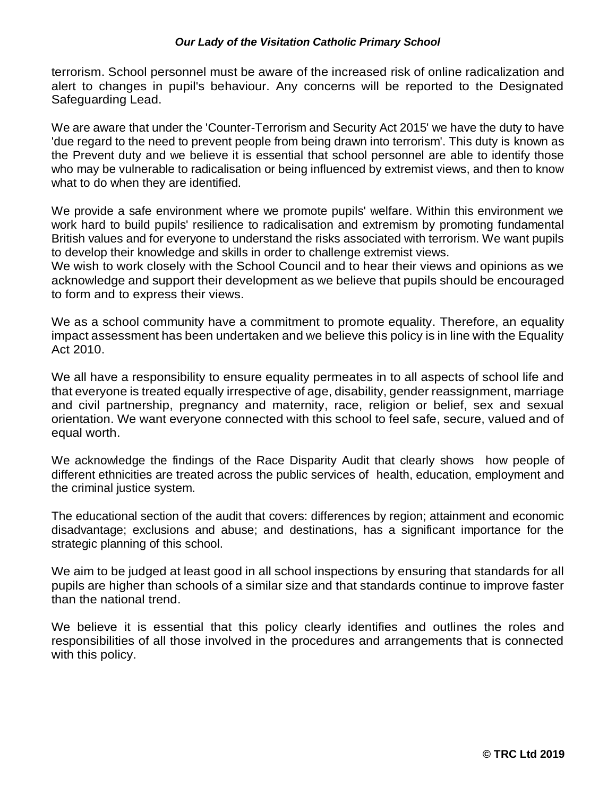terrorism. School personnel must be aware of the increased risk of online radicalization and alert to changes in pupil's behaviour. Any concerns will be reported to the Designated Safeguarding Lead.

We are aware that under the 'Counter-Terrorism and Security Act 2015' we have the duty to have 'due regard to the need to prevent people from being drawn into terrorism'. This duty is known as the Prevent duty and we believe it is essential that school personnel are able to identify those who may be vulnerable to radicalisation or being influenced by extremist views, and then to know what to do when they are identified.

We provide a safe environment where we promote pupils' welfare. Within this environment we work hard to build pupils' resilience to radicalisation and extremism by promoting fundamental British values and for everyone to understand the risks associated with terrorism. We want pupils to develop their knowledge and skills in order to challenge extremist views.

We wish to work closely with the School Council and to hear their views and opinions as we acknowledge and support their development as we believe that pupils should be encouraged to form and to express their views.

We as a school community have a commitment to promote equality. Therefore, an equality impact assessment has been undertaken and we believe this policy is in line with the Equality Act 2010.

We all have a responsibility to ensure equality permeates in to all aspects of school life and that everyone is treated equally irrespective of age, disability, gender reassignment, marriage and civil partnership, pregnancy and maternity, race, religion or belief, sex and sexual orientation. We want everyone connected with this school to feel safe, secure, valued and of equal worth.

We acknowledge the findings of the Race Disparity Audit that clearly shows how people of different ethnicities are treated across the public services of health, education, employment and the criminal justice system.

The educational section of the audit that covers: differences by region; attainment and economic disadvantage; exclusions and abuse; and destinations, has a significant importance for the strategic planning of this school.

We aim to be judged at least good in all school inspections by ensuring that standards for all pupils are higher than schools of a similar size and that standards continue to improve faster than the national trend.

We believe it is essential that this policy clearly identifies and outlines the roles and responsibilities of all those involved in the procedures and arrangements that is connected with this policy.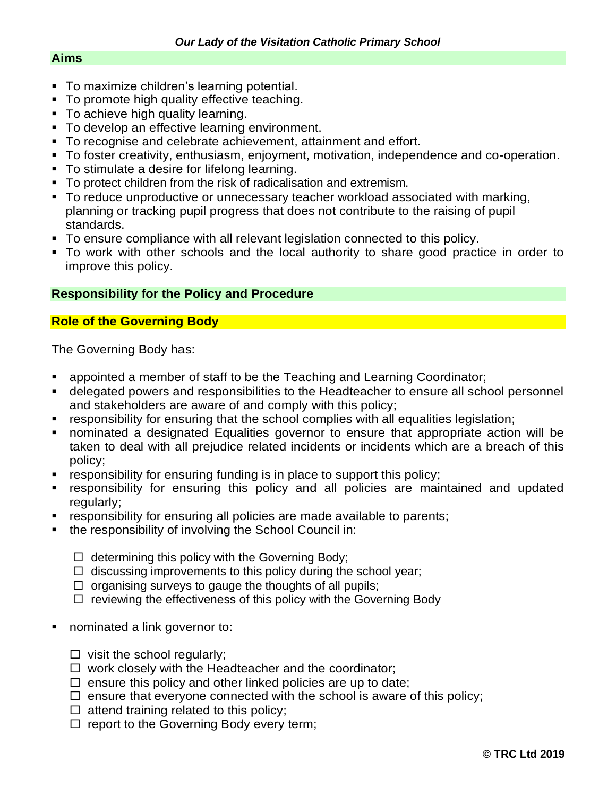## **Aims**

- **To maximize children's learning potential.**
- To promote high quality effective teaching.
- **To achieve high quality learning.**
- **To develop an effective learning environment.**
- To recognise and celebrate achievement, attainment and effort.
- To foster creativity, enthusiasm, enjoyment, motivation, independence and co-operation.
- To stimulate a desire for lifelong learning.
- To protect children from the risk of radicalisation and extremism.
- To reduce unproductive or unnecessary teacher workload associated with marking, planning or tracking pupil progress that does not contribute to the raising of pupil standards.
- To ensure compliance with all relevant legislation connected to this policy.
- To work with other schools and the local authority to share good practice in order to improve this policy.

# **Responsibility for the Policy and Procedure**

# **Role of the Governing Body**

The Governing Body has:

- **EXEDENT** appointed a member of staff to be the Teaching and Learning Coordinator;
- **delegated powers and responsibilities to the Headteacher to ensure all school personnel** and stakeholders are aware of and comply with this policy;
- responsibility for ensuring that the school complies with all equalities legislation;
- nominated a designated Equalities governor to ensure that appropriate action will be taken to deal with all prejudice related incidents or incidents which are a breach of this policy;
- **•** responsibility for ensuring funding is in place to support this policy;
- responsibility for ensuring this policy and all policies are maintained and updated regularly;
- **•** responsibility for ensuring all policies are made available to parents;
- the responsibility of involving the School Council in:
	- $\Box$  determining this policy with the Governing Body;
	- $\Box$  discussing improvements to this policy during the school year;
	- $\Box$  organising surveys to gauge the thoughts of all pupils;
	- $\Box$  reviewing the effectiveness of this policy with the Governing Body
- nominated a link governor to:
	- $\Box$  visit the school regularly;
	- $\Box$  work closely with the Headteacher and the coordinator;
	- $\Box$  ensure this policy and other linked policies are up to date;
	- $\Box$  ensure that everyone connected with the school is aware of this policy;
	- $\Box$  attend training related to this policy;
	- $\Box$  report to the Governing Body every term;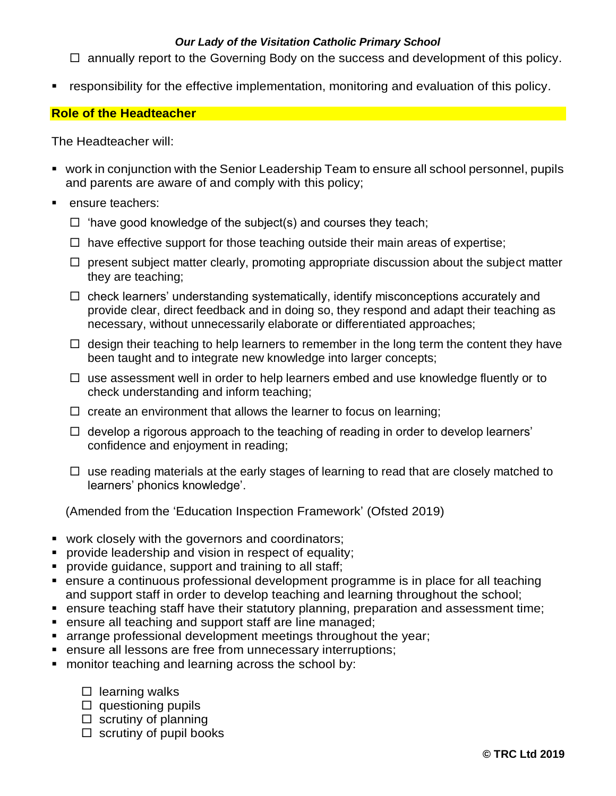$\Box$  annually report to the Governing Body on the success and development of this policy.

responsibility for the effective implementation, monitoring and evaluation of this policy.

# **Role of the Headteacher**

The Headteacher will:

- work in conjunction with the Senior Leadership Team to ensure all school personnel, pupils and parents are aware of and comply with this policy;
- ensure teachers:
	- $\Box$  'have good knowledge of the subject(s) and courses they teach;
	- $\Box$  have effective support for those teaching outside their main areas of expertise;
	- $\Box$  present subject matter clearly, promoting appropriate discussion about the subject matter they are teaching;
	- $\Box$  check learners' understanding systematically, identify misconceptions accurately and provide clear, direct feedback and in doing so, they respond and adapt their teaching as necessary, without unnecessarily elaborate or differentiated approaches;
	- $\Box$  design their teaching to help learners to remember in the long term the content they have been taught and to integrate new knowledge into larger concepts;
	- $\Box$  use assessment well in order to help learners embed and use knowledge fluently or to check understanding and inform teaching;
	- $\Box$  create an environment that allows the learner to focus on learning;
	- $\Box$  develop a rigorous approach to the teaching of reading in order to develop learners' confidence and enjoyment in reading;
	- $\Box$  use reading materials at the early stages of learning to read that are closely matched to learners' phonics knowledge'.

(Amended from the 'Education Inspection Framework' (Ofsted 2019)

- work closely with the governors and coordinators;
- **provide leadership and vision in respect of equality;**
- **provide quidance, support and training to all staff;**
- ensure a continuous professional development programme is in place for all teaching and support staff in order to develop teaching and learning throughout the school;
- **EXT** ensure teaching staff have their statutory planning, preparation and assessment time;
- **EXE** ensure all teaching and support staff are line managed;
- **arrange professional development meetings throughout the year;**
- ensure all lessons are free from unnecessary interruptions;
- monitor teaching and learning across the school by:
	- $\square$  learning walks
	- $\square$  questioning pupils
	- $\square$  scrutiny of planning
	- $\square$  scrutiny of pupil books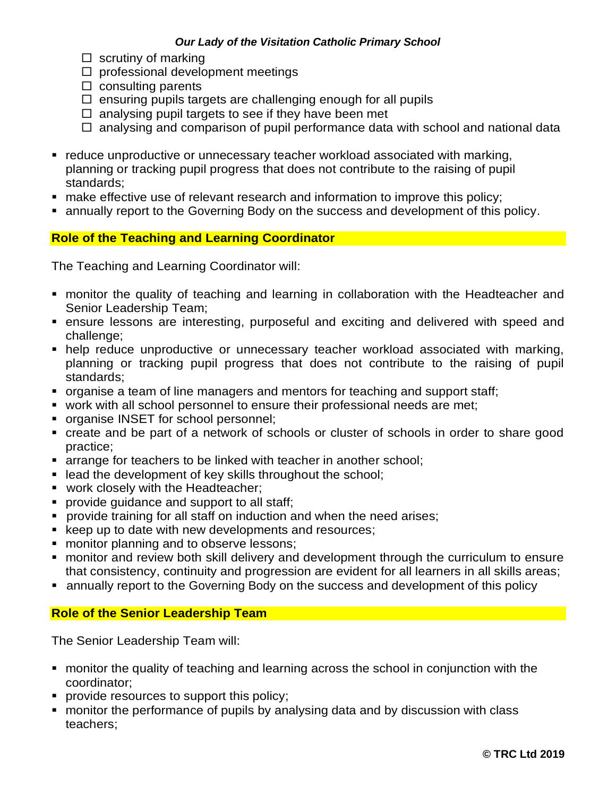- $\square$  scrutiny of marking
- $\Box$  professional development meetings
- $\square$  consulting parents
- $\Box$  ensuring pupils targets are challenging enough for all pupils
- $\Box$  analysing pupil targets to see if they have been met
- $\Box$  analysing and comparison of pupil performance data with school and national data
- reduce unproductive or unnecessary teacher workload associated with marking, planning or tracking pupil progress that does not contribute to the raising of pupil standards;
- **nake effective use of relevant research and information to improve this policy;**
- annually report to the Governing Body on the success and development of this policy.

# **Role of the Teaching and Learning Coordinator**

The Teaching and Learning Coordinator will:

- monitor the quality of teaching and learning in collaboration with the Headteacher and Senior Leadership Team;
- ensure lessons are interesting, purposeful and exciting and delivered with speed and challenge;
- help reduce unproductive or unnecessary teacher workload associated with marking, planning or tracking pupil progress that does not contribute to the raising of pupil standards;
- organise a team of line managers and mentors for teaching and support staff;
- work with all school personnel to ensure their professional needs are met;
- **organise INSET for school personnel;**
- create and be part of a network of schools or cluster of schools in order to share good practice;
- **EXTER 1** arrange for teachers to be linked with teacher in another school;
- lead the development of key skills throughout the school;
- **work closely with the Headteacher;**
- **provide quidance and support to all staff;**
- **Perovide training for all staff on induction and when the need arises;**
- **EXECT** keep up to date with new developments and resources;
- **number** monitor planning and to observe lessons;
- monitor and review both skill delivery and development through the curriculum to ensure that consistency, continuity and progression are evident for all learners in all skills areas;
- annually report to the Governing Body on the success and development of this policy

#### **Role of the Senior Leadership Team**

The Senior Leadership Team will:

- monitor the quality of teaching and learning across the school in conjunction with the coordinator;
- **PEDECITE:** provide resources to support this policy;
- monitor the performance of pupils by analysing data and by discussion with class teachers;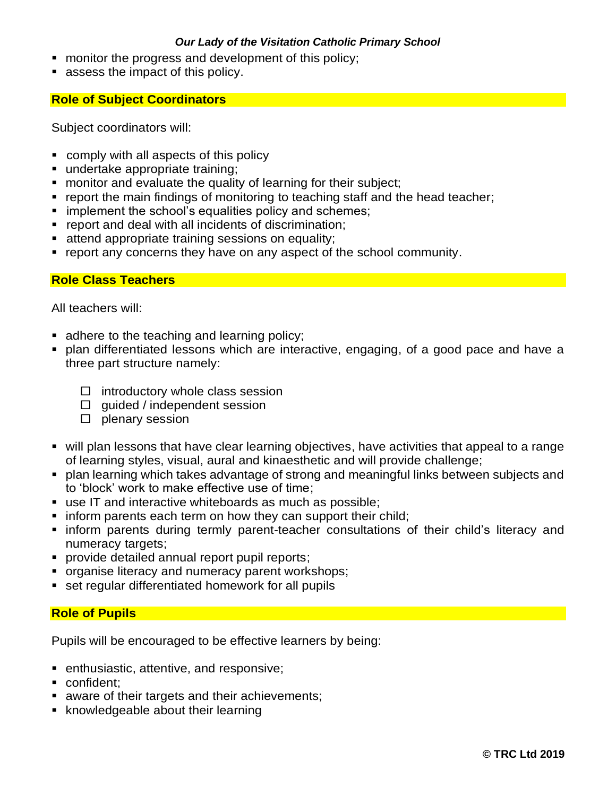- **n** monitor the progress and development of this policy;
- **assess the impact of this policy.**

## **Role of Subject Coordinators**

Subject coordinators will:

- comply with all aspects of this policy
- undertake appropriate training;
- **number** monitor and evaluate the quality of learning for their subject;
- **report the main findings of monitoring to teaching staff and the head teacher;**
- **implement the school's equalities policy and schemes;**
- **•** report and deal with all incidents of discrimination;
- **attend appropriate training sessions on equality;**
- report any concerns they have on any aspect of the school community.

## **Role Class Teachers**

All teachers will:

- adhere to the teaching and learning policy;
- plan differentiated lessons which are interactive, engaging, of a good pace and have a three part structure namely:
	- $\Box$  introductory whole class session
	- $\Box$  quided / independent session
	- $\square$  plenary session
- will plan lessons that have clear learning objectives, have activities that appeal to a range of learning styles, visual, aural and kinaesthetic and will provide challenge;
- plan learning which takes advantage of strong and meaningful links between subjects and to 'block' work to make effective use of time;
- use IT and interactive whiteboards as much as possible;
- **inform parents each term on how they can support their child;**
- **Example inform parents during termly parent-teacher consultations of their child's literacy and** numeracy targets;
- **provide detailed annual report pupil reports;**
- **organise literacy and numeracy parent workshops;**
- **set regular differentiated homework for all pupils**

# **Role of Pupils**

Pupils will be encouraged to be effective learners by being:

- **EXEC** enthusiastic, attentive, and responsive;
- confident:
- **aware of their targets and their achievements;**
- **K** knowledgeable about their learning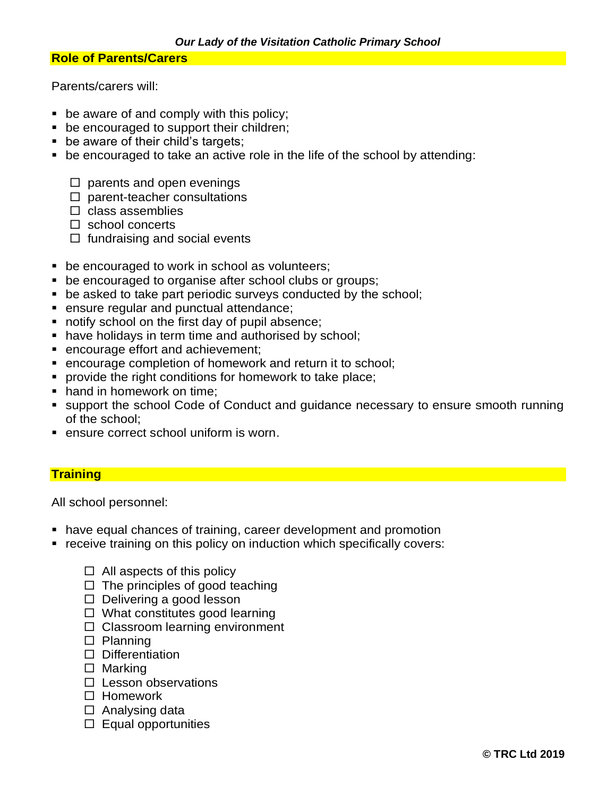### **Role of Parents/Carers**

Parents/carers will:

- be aware of and comply with this policy;
- **be encouraged to support their children;**
- **be aware of their child's targets;**
- be encouraged to take an active role in the life of the school by attending:
	- $\Box$  parents and open evenings
	- $\square$  parent-teacher consultations
	- $\Box$  class assemblies
	- $\Box$  school concerts
	- $\Box$  fundraising and social events
- **be encouraged to work in school as volunteers;**
- **be encouraged to organise after school clubs or groups;**
- **•** be asked to take part periodic surveys conducted by the school;
- **ensure regular and punctual attendance;**
- notify school on the first day of pupil absence;
- have holidays in term time and authorised by school;
- encourage effort and achievement;
- encourage completion of homework and return it to school;
- **PEDECITE:** provide the right conditions for homework to take place;
- hand in homework on time;
- support the school Code of Conduct and guidance necessary to ensure smooth running of the school;
- **EXECT** ensure correct school uniform is worn.

# **Training**

All school personnel:

- have equal chances of training, career development and promotion
- receive training on this policy on induction which specifically covers:
	- $\Box$  All aspects of this policy
	- $\Box$  The principles of good teaching
	- $\Box$  Delivering a good lesson
	- $\Box$  What constitutes good learning
	- $\Box$  Classroom learning environment
	- $\square$  Planning
	- $\square$  Differentiation
	- $\Box$  Marking
	- $\square$  Lesson observations
	- □ Homework
	- $\Box$  Analysing data
	- $\square$  Equal opportunities